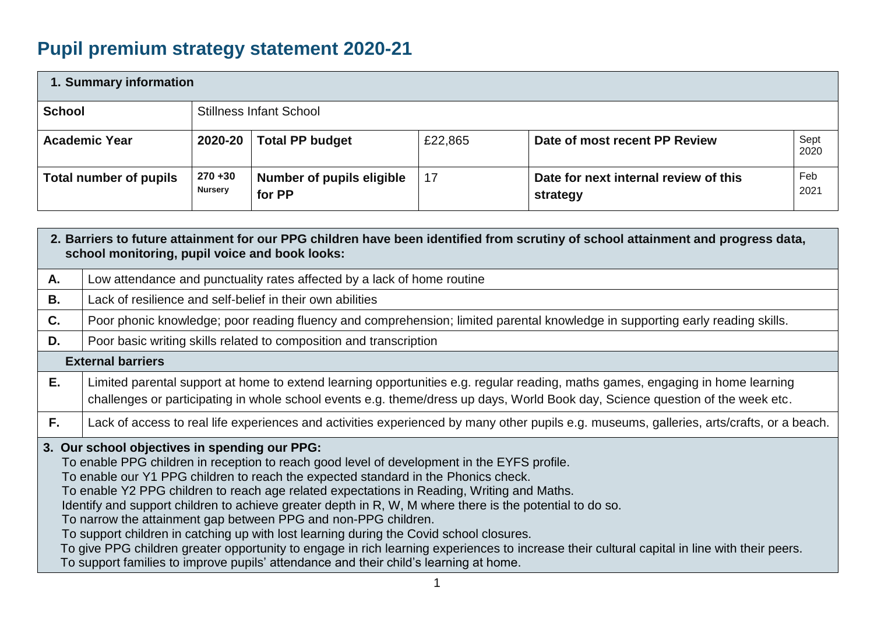# **Pupil premium strategy statement 2020-21**

| 1. Summary information        |                              |                                     |         |                                                   |              |  |  |
|-------------------------------|------------------------------|-------------------------------------|---------|---------------------------------------------------|--------------|--|--|
| <b>School</b>                 |                              | <b>Stillness Infant School</b>      |         |                                                   |              |  |  |
| <b>Academic Year</b>          | 2020-20                      | <b>Total PP budget</b>              | £22,865 | Date of most recent PP Review                     | Sept<br>2020 |  |  |
| <b>Total number of pupils</b> | $270 + 30$<br><b>Nursery</b> | Number of pupils eligible<br>for PP | 17      | Date for next internal review of this<br>strategy | Feb<br>2021  |  |  |

|                                                                                                                                                                                                                                                                                                                                                                                                                                                                                                                                                                                                                                                                                                                                                                                                                                                    | 2. Barriers to future attainment for our PPG children have been identified from scrutiny of school attainment and progress data,<br>school monitoring, pupil voice and book looks:                                                                               |  |  |  |  |
|----------------------------------------------------------------------------------------------------------------------------------------------------------------------------------------------------------------------------------------------------------------------------------------------------------------------------------------------------------------------------------------------------------------------------------------------------------------------------------------------------------------------------------------------------------------------------------------------------------------------------------------------------------------------------------------------------------------------------------------------------------------------------------------------------------------------------------------------------|------------------------------------------------------------------------------------------------------------------------------------------------------------------------------------------------------------------------------------------------------------------|--|--|--|--|
| А.                                                                                                                                                                                                                                                                                                                                                                                                                                                                                                                                                                                                                                                                                                                                                                                                                                                 | Low attendance and punctuality rates affected by a lack of home routine                                                                                                                                                                                          |  |  |  |  |
| <b>B.</b>                                                                                                                                                                                                                                                                                                                                                                                                                                                                                                                                                                                                                                                                                                                                                                                                                                          | Lack of resilience and self-belief in their own abilities                                                                                                                                                                                                        |  |  |  |  |
| C.                                                                                                                                                                                                                                                                                                                                                                                                                                                                                                                                                                                                                                                                                                                                                                                                                                                 | Poor phonic knowledge; poor reading fluency and comprehension; limited parental knowledge in supporting early reading skills.                                                                                                                                    |  |  |  |  |
| D.                                                                                                                                                                                                                                                                                                                                                                                                                                                                                                                                                                                                                                                                                                                                                                                                                                                 | Poor basic writing skills related to composition and transcription                                                                                                                                                                                               |  |  |  |  |
|                                                                                                                                                                                                                                                                                                                                                                                                                                                                                                                                                                                                                                                                                                                                                                                                                                                    | <b>External barriers</b>                                                                                                                                                                                                                                         |  |  |  |  |
| E.                                                                                                                                                                                                                                                                                                                                                                                                                                                                                                                                                                                                                                                                                                                                                                                                                                                 | Limited parental support at home to extend learning opportunities e.g. regular reading, maths games, engaging in home learning<br>challenges or participating in whole school events e.g. theme/dress up days, World Book day, Science question of the week etc. |  |  |  |  |
| F.                                                                                                                                                                                                                                                                                                                                                                                                                                                                                                                                                                                                                                                                                                                                                                                                                                                 | Lack of access to real life experiences and activities experienced by many other pupils e.g. museums, galleries, arts/crafts, or a beach.                                                                                                                        |  |  |  |  |
| 3. Our school objectives in spending our PPG:<br>To enable PPG children in reception to reach good level of development in the EYFS profile.<br>To enable our Y1 PPG children to reach the expected standard in the Phonics check.<br>To enable Y2 PPG children to reach age related expectations in Reading, Writing and Maths.<br>Identify and support children to achieve greater depth in R, W, M where there is the potential to do so.<br>To narrow the attainment gap between PPG and non-PPG children.<br>To support children in catching up with lost learning during the Covid school closures.<br>To give PPG children greater opportunity to engage in rich learning experiences to increase their cultural capital in line with their peers.<br>To support families to improve pupils' attendance and their child's learning at home. |                                                                                                                                                                                                                                                                  |  |  |  |  |
|                                                                                                                                                                                                                                                                                                                                                                                                                                                                                                                                                                                                                                                                                                                                                                                                                                                    |                                                                                                                                                                                                                                                                  |  |  |  |  |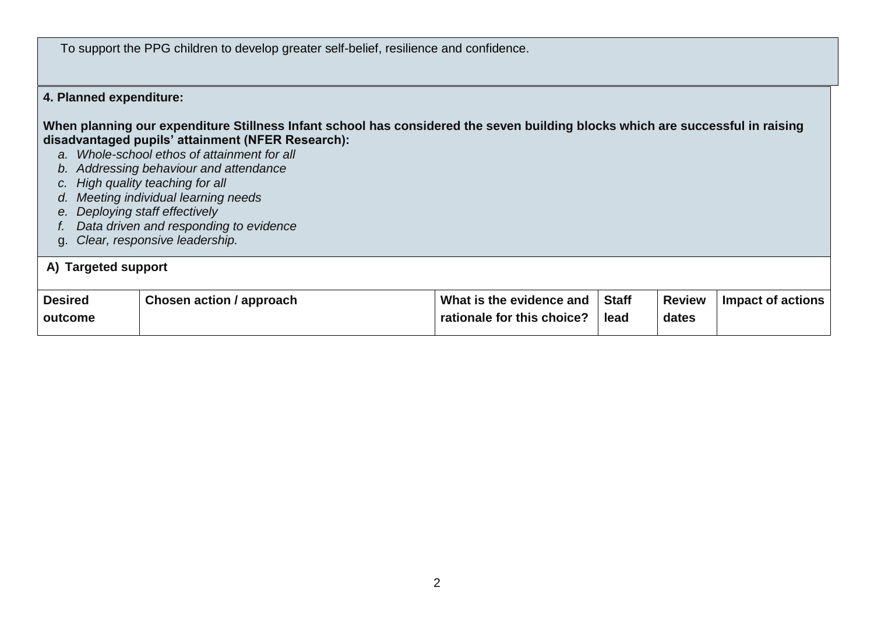To support the PPG children to develop greater self-belief, resilience and confidence.

### **4. Planned expenditure:**

**When planning our expenditure Stillness Infant school has considered the seven building blocks which are successful in raising disadvantaged pupils' attainment (NFER Research):**

- *a. Whole-school ethos of attainment for all*
- *b. Addressing behaviour and attendance*
- *c. High quality teaching for all*
- *d. Meeting individual learning needs*
- *e. Deploying staff effectively*
- *f. Data driven and responding to evidence*
- g. *Clear, responsive leadership.*

#### **A) Targeted support Desired outcome Chosen action / approach**  $\blacksquare$  **What is the evidence and rationale for this choice? Staff lead Review dates Impact of actions**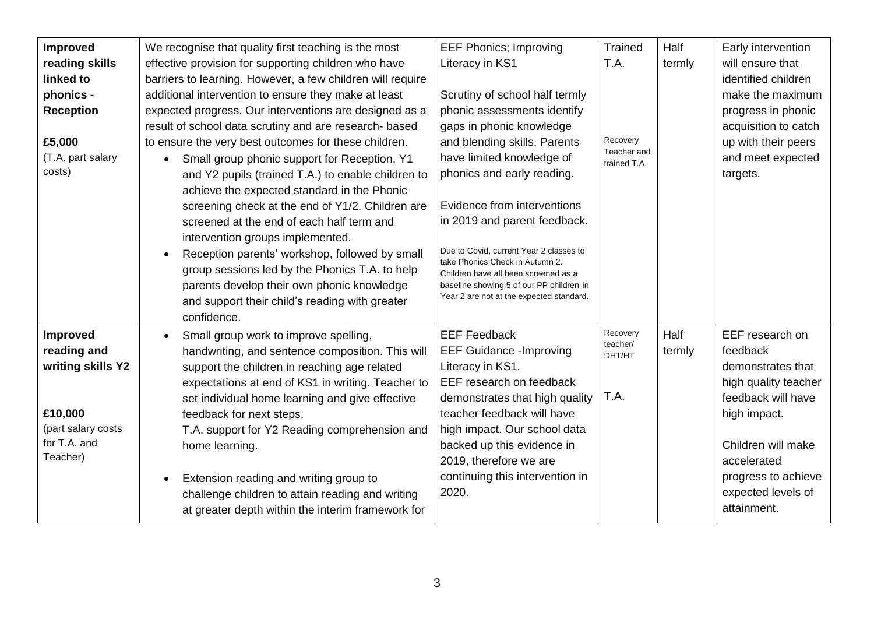| Improved<br>reading skills<br>linked to<br>phonics -<br><b>Reception</b><br>£5,000<br>(T.A. part salary<br>costs) | We recognise that quality first teaching is the most<br>effective provision for supporting children who have<br>barriers to learning. However, a few children will require<br>additional intervention to ensure they make at least<br>expected progress. Our interventions are designed as a<br>result of school data scrutiny and are research- based<br>to ensure the very best outcomes for these children.<br>Small group phonic support for Reception, Y1<br>$\bullet$<br>and Y2 pupils (trained T.A.) to enable children to<br>achieve the expected standard in the Phonic<br>screening check at the end of Y1/2. Children are<br>screened at the end of each half term and<br>intervention groups implemented.<br>Reception parents' workshop, followed by small<br>group sessions led by the Phonics T.A. to help<br>parents develop their own phonic knowledge<br>and support their child's reading with greater<br>confidence. | <b>EEF Phonics; Improving</b><br>Literacy in KS1<br>Scrutiny of school half termly<br>phonic assessments identify<br>gaps in phonic knowledge<br>and blending skills. Parents<br>have limited knowledge of<br>phonics and early reading.<br>Evidence from interventions<br>in 2019 and parent feedback.<br>Due to Covid, current Year 2 classes to<br>take Phonics Check in Autumn 2.<br>Children have all been screened as a<br>baseline showing 5 of our PP children in<br>Year 2 are not at the expected standard. | <b>Trained</b><br>T.A.<br>Recovery<br>Teacher and<br>trained T.A. | Half<br>termly | Early intervention<br>will ensure that<br>identified children<br>make the maximum<br>progress in phonic<br>acquisition to catch<br>up with their peers<br>and meet expected<br>targets.                         |
|-------------------------------------------------------------------------------------------------------------------|------------------------------------------------------------------------------------------------------------------------------------------------------------------------------------------------------------------------------------------------------------------------------------------------------------------------------------------------------------------------------------------------------------------------------------------------------------------------------------------------------------------------------------------------------------------------------------------------------------------------------------------------------------------------------------------------------------------------------------------------------------------------------------------------------------------------------------------------------------------------------------------------------------------------------------------|-----------------------------------------------------------------------------------------------------------------------------------------------------------------------------------------------------------------------------------------------------------------------------------------------------------------------------------------------------------------------------------------------------------------------------------------------------------------------------------------------------------------------|-------------------------------------------------------------------|----------------|-----------------------------------------------------------------------------------------------------------------------------------------------------------------------------------------------------------------|
| Improved<br>reading and<br>writing skills Y2<br>£10,000<br>(part salary costs<br>for T.A. and<br>Teacher)         | Small group work to improve spelling,<br>handwriting, and sentence composition. This will<br>support the children in reaching age related<br>expectations at end of KS1 in writing. Teacher to<br>set individual home learning and give effective<br>feedback for next steps.<br>T.A. support for Y2 Reading comprehension and<br>home learning.<br>Extension reading and writing group to<br>challenge children to attain reading and writing<br>at greater depth within the interim framework for                                                                                                                                                                                                                                                                                                                                                                                                                                      | <b>EEF Feedback</b><br><b>EEF Guidance - Improving</b><br>Literacy in KS1.<br>EEF research on feedback<br>demonstrates that high quality<br>teacher feedback will have<br>high impact. Our school data<br>backed up this evidence in<br>2019, therefore we are<br>continuing this intervention in<br>2020.                                                                                                                                                                                                            | Recovery<br>teacher/<br>DHT/HT<br>T.A.                            | Half<br>termly | EEF research on<br>feedback<br>demonstrates that<br>high quality teacher<br>feedback will have<br>high impact.<br>Children will make<br>accelerated<br>progress to achieve<br>expected levels of<br>attainment. |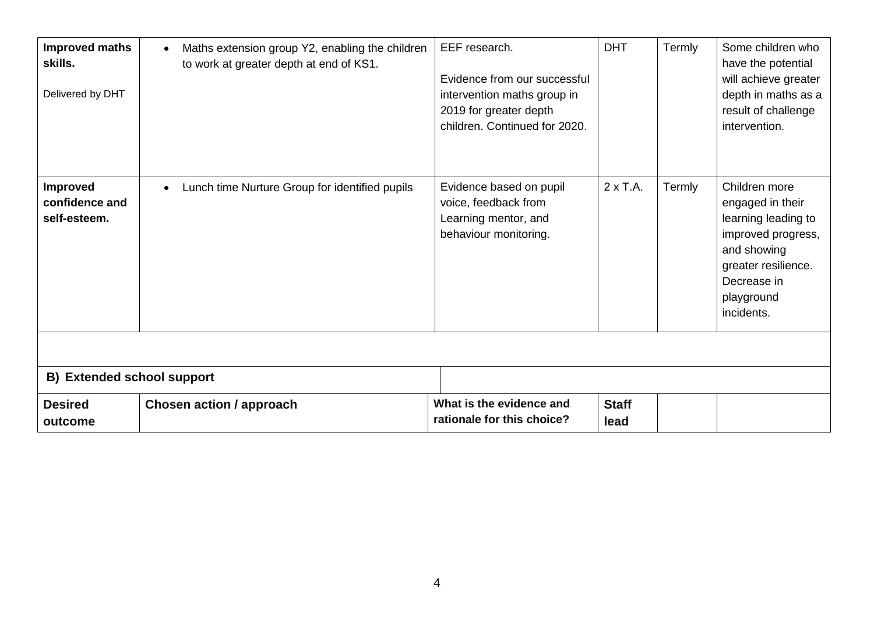| <b>Improved maths</b><br>skills.<br>Delivered by DHT | Maths extension group Y2, enabling the children<br>$\bullet$<br>to work at greater depth at end of KS1. | EEF research.<br>Evidence from our successful<br>intervention maths group in<br>2019 for greater depth<br>children. Continued for 2020. | <b>DHT</b>           | Termly | Some children who<br>have the potential<br>will achieve greater<br>depth in maths as a<br>result of challenge<br>intervention.                                  |  |  |
|------------------------------------------------------|---------------------------------------------------------------------------------------------------------|-----------------------------------------------------------------------------------------------------------------------------------------|----------------------|--------|-----------------------------------------------------------------------------------------------------------------------------------------------------------------|--|--|
| <b>Improved</b><br>confidence and<br>self-esteem.    | Lunch time Nurture Group for identified pupils                                                          | Evidence based on pupil<br>voice, feedback from<br>Learning mentor, and<br>behaviour monitoring.                                        | $2 \times T.A.$      | Termly | Children more<br>engaged in their<br>learning leading to<br>improved progress,<br>and showing<br>greater resilience.<br>Decrease in<br>playground<br>incidents. |  |  |
| <b>B) Extended school support</b>                    |                                                                                                         |                                                                                                                                         |                      |        |                                                                                                                                                                 |  |  |
| <b>Desired</b><br>outcome                            | <b>Chosen action / approach</b>                                                                         | What is the evidence and<br>rationale for this choice?                                                                                  | <b>Staff</b><br>lead |        |                                                                                                                                                                 |  |  |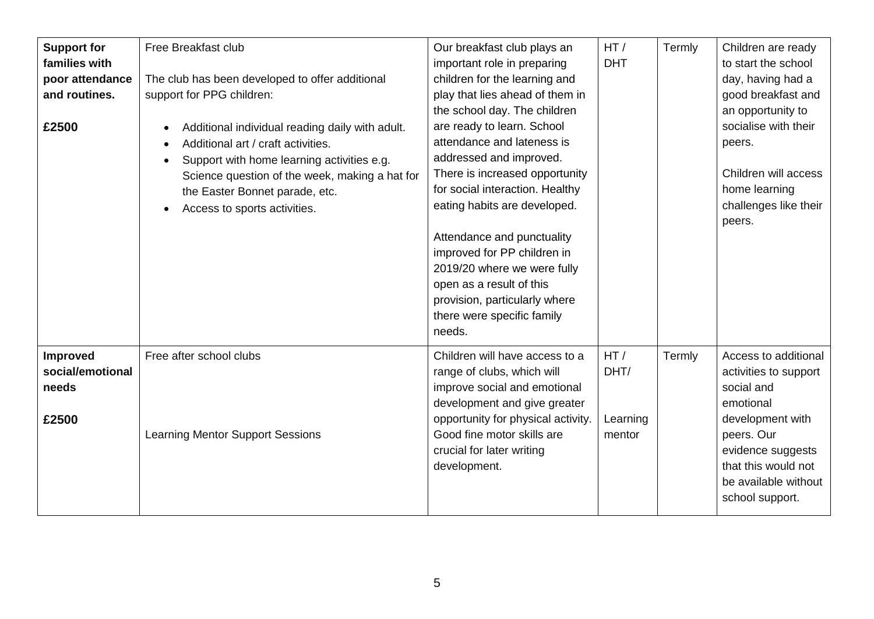| <b>Support for</b><br>families with<br>poor attendance<br>and routines.<br>£2500 | Free Breakfast club<br>The club has been developed to offer additional<br>support for PPG children:<br>Additional individual reading daily with adult.<br>Additional art / craft activities.<br>Support with home learning activities e.g.<br>Science question of the week, making a hat for<br>the Easter Bonnet parade, etc.<br>Access to sports activities. | Our breakfast club plays an<br>important role in preparing<br>children for the learning and<br>play that lies ahead of them in<br>the school day. The children<br>are ready to learn. School<br>attendance and lateness is<br>addressed and improved.<br>There is increased opportunity<br>for social interaction. Healthy<br>eating habits are developed.<br>Attendance and punctuality<br>improved for PP children in<br>2019/20 where we were fully<br>open as a result of this<br>provision, particularly where<br>there were specific family<br>needs. | HT/<br><b>DHT</b>                 | Termly | Children are ready<br>to start the school<br>day, having had a<br>good breakfast and<br>an opportunity to<br>socialise with their<br>peers.<br>Children will access<br>home learning<br>challenges like their<br>peers. |
|----------------------------------------------------------------------------------|----------------------------------------------------------------------------------------------------------------------------------------------------------------------------------------------------------------------------------------------------------------------------------------------------------------------------------------------------------------|-------------------------------------------------------------------------------------------------------------------------------------------------------------------------------------------------------------------------------------------------------------------------------------------------------------------------------------------------------------------------------------------------------------------------------------------------------------------------------------------------------------------------------------------------------------|-----------------------------------|--------|-------------------------------------------------------------------------------------------------------------------------------------------------------------------------------------------------------------------------|
| Improved<br>social/emotional<br>needs<br>£2500                                   | Free after school clubs<br><b>Learning Mentor Support Sessions</b>                                                                                                                                                                                                                                                                                             | Children will have access to a<br>range of clubs, which will<br>improve social and emotional<br>development and give greater<br>opportunity for physical activity.<br>Good fine motor skills are<br>crucial for later writing<br>development.                                                                                                                                                                                                                                                                                                               | HT/<br>DHT/<br>Learning<br>mentor | Termly | Access to additional<br>activities to support<br>social and<br>emotional<br>development with<br>peers. Our<br>evidence suggests<br>that this would not<br>be available without<br>school support.                       |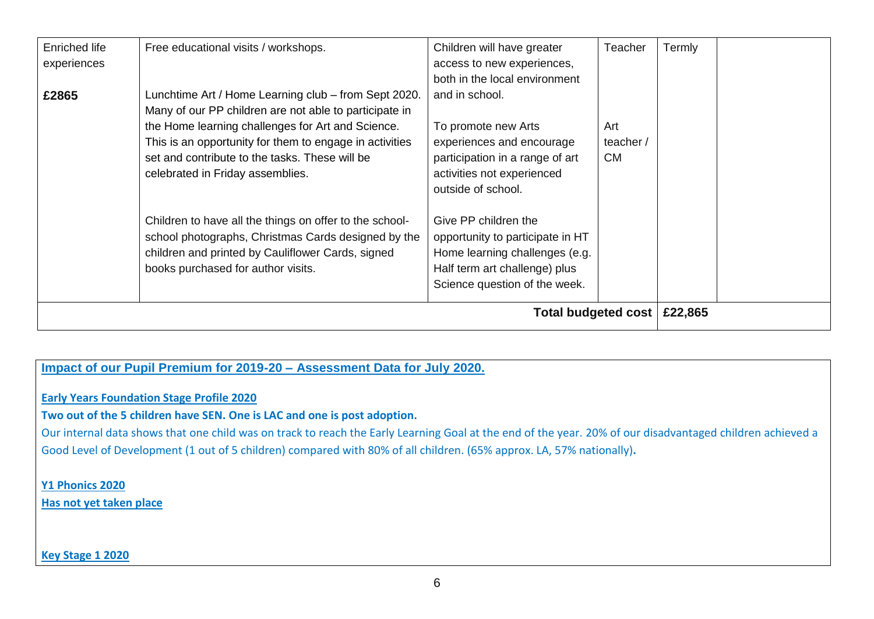| <b>Enriched life</b><br>experiences | Free educational visits / workshops.                                                                                                                                                                                                                                                                                                                                                                                                                                                                                              | Children will have greater<br>access to new experiences,<br>both in the local environment                                                                                                                                                                                                                                 | Teacher                      | Termly  |  |
|-------------------------------------|-----------------------------------------------------------------------------------------------------------------------------------------------------------------------------------------------------------------------------------------------------------------------------------------------------------------------------------------------------------------------------------------------------------------------------------------------------------------------------------------------------------------------------------|---------------------------------------------------------------------------------------------------------------------------------------------------------------------------------------------------------------------------------------------------------------------------------------------------------------------------|------------------------------|---------|--|
| £2865                               | Lunchtime Art / Home Learning club - from Sept 2020.<br>Many of our PP children are not able to participate in<br>the Home learning challenges for Art and Science.<br>This is an opportunity for them to engage in activities<br>set and contribute to the tasks. These will be<br>celebrated in Friday assemblies.<br>Children to have all the things on offer to the school-<br>school photographs, Christmas Cards designed by the<br>children and printed by Cauliflower Cards, signed<br>books purchased for author visits. | and in school.<br>To promote new Arts<br>experiences and encourage<br>participation in a range of art<br>activities not experienced<br>outside of school.<br>Give PP children the<br>opportunity to participate in HT<br>Home learning challenges (e.g.<br>Half term art challenge) plus<br>Science question of the week. | Art<br>teacher/<br><b>CM</b> |         |  |
| <b>Total budgeted cost</b>          |                                                                                                                                                                                                                                                                                                                                                                                                                                                                                                                                   |                                                                                                                                                                                                                                                                                                                           |                              | £22,865 |  |

# **Impact of our Pupil Premium for 2019-20 – Assessment Data for July 2020.**

## **Early Years Foundation Stage Profile 2020**

#### **Two out of the 5 children have SEN. One is LAC and one is post adoption.**

Our internal data shows that one child was on track to reach the Early Learning Goal at the end of the year. 20% of our disadvantaged children achieved a Good Level of Development (1 out of 5 children) compared with 80% of all children. (65% approx. LA, 57% nationally)**.** 

### **Y1 Phonics 2020**

**Has not yet taken place**

#### **Key Stage 1 2020**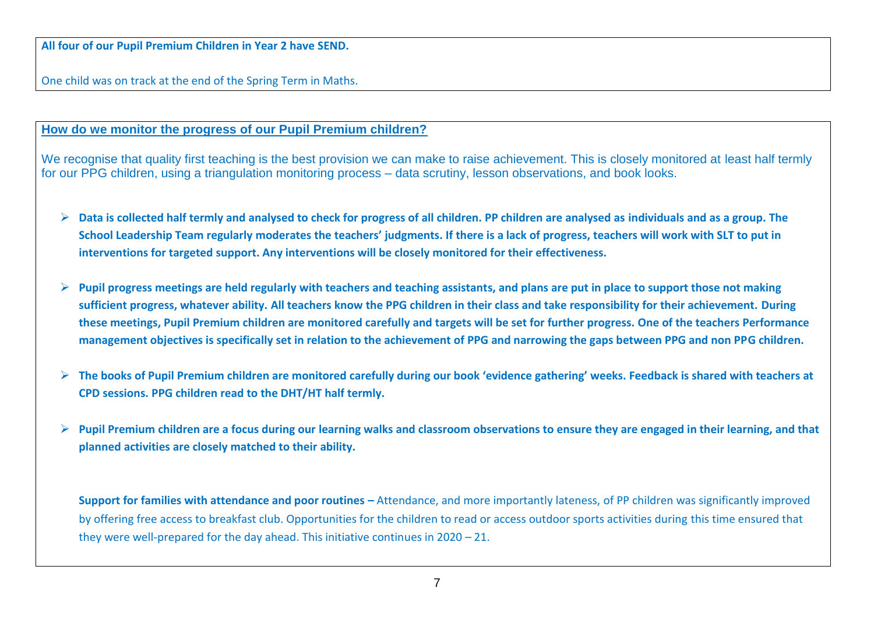One child was on track at the end of the Spring Term in Maths.

### **How do we monitor the progress of our Pupil Premium children?**

We recognise that quality first teaching is the best provision we can make to raise achievement. This is closely monitored at least half termly for our PPG children, using a triangulation monitoring process – data scrutiny, lesson observations, and book looks.

- ➢ **Data is collected half termly and analysed to check for progress of all children. PP children are analysed as individuals and as a group. The School Leadership Team regularly moderates the teachers' judgments. If there is a lack of progress, teachers will work with SLT to put in interventions for targeted support. Any interventions will be closely monitored for their effectiveness.**
- ➢ **Pupil progress meetings are held regularly with teachers and teaching assistants, and plans are put in place to support those not making sufficient progress, whatever ability. All teachers know the PPG children in their class and take responsibility for their achievement. During these meetings, Pupil Premium children are monitored carefully and targets will be set for further progress. One of the teachers Performance management objectives is specifically set in relation to the achievement of PPG and narrowing the gaps between PPG and non PPG children.**
- ➢ **The books of Pupil Premium children are monitored carefully during our book 'evidence gathering' weeks. Feedback is shared with teachers at CPD sessions. PPG children read to the DHT/HT half termly.**
- ➢ **Pupil Premium children are a focus during our learning walks and classroom observations to ensure they are engaged in their learning, and that planned activities are closely matched to their ability.**

**Support for families with attendance and poor routines –** Attendance, and more importantly lateness, of PP children was significantly improved by offering free access to breakfast club. Opportunities for the children to read or access outdoor sports activities during this time ensured that they were well-prepared for the day ahead. This initiative continues in 2020 – 21.